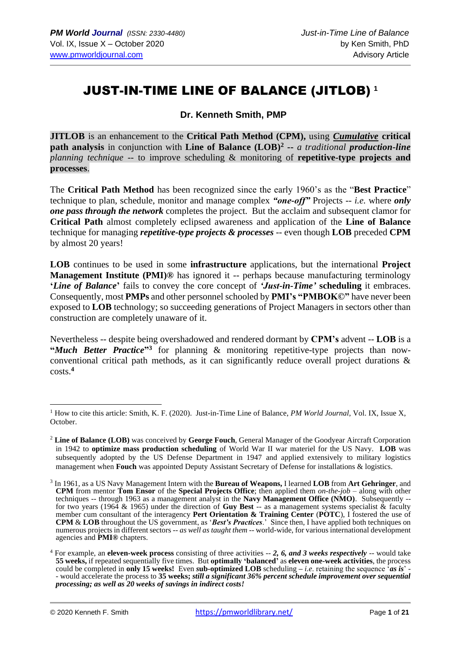# JUST-IN-TIME LINE OF BALANCE (JITLOB) **<sup>1</sup>**

**Dr. Kenneth Smith, PMP**

**JITLOB** is an enhancement to the **Critical Path Method (CPM),** using *Cumulative* **critical path analysis** in conjunction with **Line of Balance (LOB)<sup>2</sup> --** *a traditional production-line planning technique* -- to improve scheduling & monitoring of **repetitive-type projects and processes**.

The **Critical Path Method** has been recognized since the early 1960's as the "**Best Practice**" technique to plan, schedule, monitor and manage complex *"one-off"* Projects -- *i.e.* where *only one pass through the network* completes the project. But the acclaim and subsequent clamor for **Critical Path** almost completely eclipsed awareness and application of the **Line of Balance** technique for managing *repetitive-type projects & processes* -- even though **LOB** preceded **CPM**  by almost 20 years!

**LOB** continues to be used in some **infrastructure** applications, but the international **Project Management Institute (PMI)®** has ignored it -- perhaps because manufacturing terminology **'***Line of Balance***'** fails to convey the core concept of *'Just-in-Time'* **scheduling** it embraces. Consequently, most **PMPs** and other personnel schooled by **PMI's "PMBOK©"** have never been exposed to **LOB** technology; so succeeding generations of Project Managers in sectors other than construction are completely unaware of it.

Nevertheless -- despite being overshadowed and rendered dormant by **CPM's** advent -- **LOB** is a "Much Better Practice"<sup>3</sup> for planning & monitoring repetitive-type projects than nowconventional critical path methods, as it can significantly reduce overall project durations & costs.**<sup>4</sup>**

<sup>1</sup> How to cite this article: Smith, K. F. (2020). Just-in-Time Line of Balance, *PM World Journal*, Vol. IX, Issue X, October.

<sup>2</sup> **Line of Balance (LOB)** was conceived by **George Fouch**, General Manager of the Goodyear Aircraft Corporation in 1942 to **optimize mass production scheduling** of World War II war materiel for the US Navy. **LOB** was subsequently adopted by the US Defense Department in 1947 and applied extensively to military logistics management when **Fouch** was appointed Deputy Assistant Secretary of Defense for installations & logistics.

<sup>3</sup> In 1961, as a US Navy Management Intern with the **Bureau of Weapons,** I learned **LOB** from **Art Gehringer**, and **CPM** from mentor **Tom Ensor** of the **Special Projects Office**; then applied them *on-the-job* – along with other techniques -- through 1963 as a management analyst in the **Navy Management Office (NMO)**. Subsequently - for two years (1964 & 1965) under the direction of **Guy Best** -- as a management systems specialist & faculty member cum consultant of the interagency **Pert Orientation & Training Center** (**POTC**), I fostered the use of **CPM** & **LOB** throughout the US government, as '*Best's Practices*.' Since then, I have applied both techniques on numerous projects in different sectors *-- as well as taught them --* world-wide, for various international development agencies and **PMI®** chapters.

<sup>4</sup> For example, an **eleven-week process** consisting of three activities -- *2, 6, and 3 weeks respectively* -- would take **55 weeks,** if repeated sequentially five times. But **optimally 'balanced'** as **eleven one-week activities**, the process could be completed in **only 15 weeks!** Even *s***ub-optimized LOB** scheduling *– i.e*. retaining the sequence '*as is*' - - would accelerate the process to **35 weeks;** *still a significant 36% percent schedule improvement over sequential processing; as well as 20 weeks of savings in indirect costs!*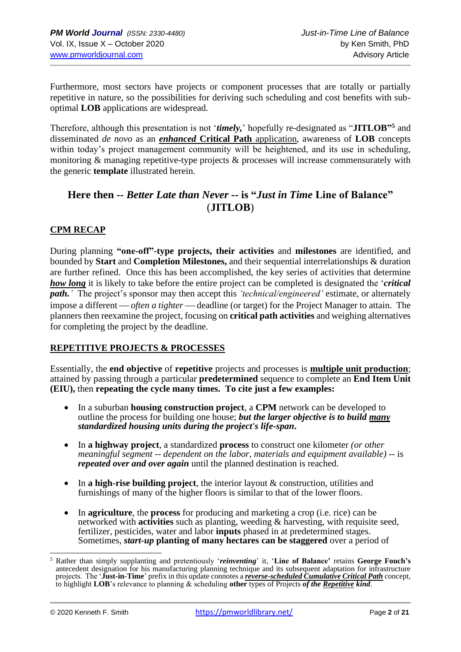Furthermore, most sectors have projects or component processes that are totally or partially repetitive in nature, so the possibilities for deriving such scheduling and cost benefits with suboptimal **LOB** applications are widespread.

Therefore, although this presentation is not '*timely,*' hopefully re-designated as "**JITLOB" <sup>5</sup>** and disseminated *de novo* as an *enhanced* **Critical Path** application, awareness of **LOB** concepts within today's project management community will be heightened, and its use in scheduling, monitoring & managing repetitive-type projects & processes will increase commensurately with the generic **template** illustrated herein.

# **Here then --** *Better Late than Never --* **is "***Just in Time* **Line of Balance"** (**JITLOB**)

# **CPM RECAP**

During planning **"one-off"-type projects, their activities** and **milestones** are identified, and bounded by **Start** and **Completion Milestones,** and their sequential interrelationships & duration are further refined. Once this has been accomplished, the key series of activities that determine *how long* it is likely to take before the entire project can be completed is designated the '*critical path.'* The project's sponsor may then accept this *'technical/engineered'* estimate, or alternately impose a different — *often a tighter* — deadline (or target) for the Project Manager to attain. The planners then reexamine the project, focusing on **critical path activities** and weighing alternatives for completing the project by the deadline.

#### **REPETITIVE PROJECTS & PROCESSES**

Essentially, the **end objective** of **repetitive** projects and processes is **multiple unit production**; attained by passing through a particular **predetermined** sequence to complete an **End Item Unit (EIU),** then **repeating the cycle many times. To cite just a few examples:**

- In a suburban **housing construction project**, a **CPM** network can be developed to outline the process for building one house; *but the larger objective is to build many standardized housing units during the project's life-span***.**
- In **a highway project**, a standardized **process** to construct one kilometer *(or other meaningful segment -- dependent on the labor, materials and equipment available)* -- is *repeated over and over again* until the planned destination is reached.
- In **a high-rise building project**, the interior layout & construction, utilities and furnishings of many of the higher floors is similar to that of the lower floors.
- In **agriculture**, the **process** for producing and marketing a crop (i.e. rice) can be networked with **activities** such as planting, weeding & harvesting, with requisite seed, fertilizer, pesticides, water and labor **inputs** phased in at predetermined stages. Sometimes, *start-up* **planting of many hectares can be staggered** over a period of

<sup>5</sup> Rather than simply supplanting and pretentiously '*reinventing*' it, '**Line of Balance'** retains **George Fouch's** antecedent designation for his manufacturing planning technique and its subsequent adaptation for infrastructure projects. The '**Just-in-Time**' prefix in this update connotes a *reverse-scheduled Cumulative Critical Path* concept, to highlight **LOB**'s relevance to planning & scheduling **other** types of Projects *of the Repetitive kind*.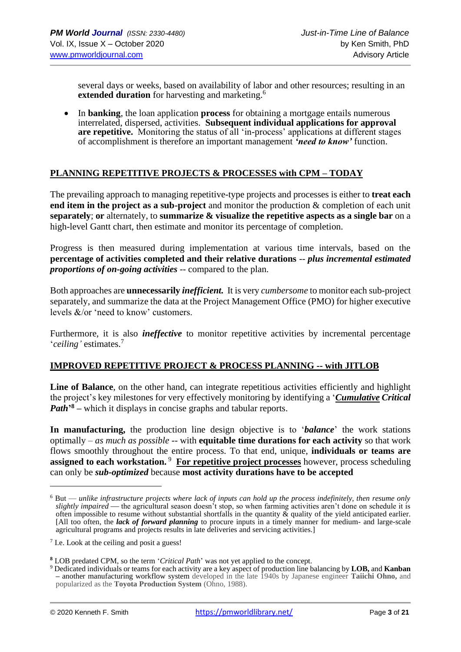several days or weeks, based on availability of labor and other resources; resulting in an **extended duration** for harvesting and marketing.<sup>6</sup>

• In **banking**, the loan application **process** for obtaining a mortgage entails numerous interrelated, dispersed, activities. **Subsequent individual applications for approval are repetitive.** Monitoring the status of all 'in-process' applications at different stages of accomplishment is therefore an important management *'need to know'* function.

# **PLANNING REPETITIVE PROJECTS & PROCESSES with CPM – TODAY**

The prevailing approach to managing repetitive-type projects and processes is either to **treat each end item in the project as a sub-project** and monitor the production & completion of each unit **separately**; **or** alternately, to **summarize & visualize the repetitive aspects as a single bar** on a high-level Gantt chart, then estimate and monitor its percentage of completion.

Progress is then measured during implementation at various time intervals, based on the **percentage of activities completed and their relative durations** -- *plus incremental estimated proportions of on-going activities -- compared to the plan.* 

Both approaches are **unnecessarily** *inefficient.* It is very *cumbersome* to monitor each sub-project separately, and summarize the data at the Project Management Office (PMO) for higher executive levels &/or 'need to know' customers.

Furthermore, it is also *ineffective* to monitor repetitive activities by incremental percentage '*ceiling'* estimates.<sup>7</sup>

#### **IMPROVED REPETITIVE PROJECT & PROCESS PLANNING -- with JITLOB**

Line of Balance, on the other hand, can integrate repetitious activities efficiently and highlight the project's key milestones for very effectively monitoring by identifying a '*Cumulative Critical Path***' <sup>8</sup> –** which it displays in concise graphs and tabular reports.

**In manufacturing,** the production line design objective is to '*balance*' the work stations optimally – *as much as possible* -- with **equitable time durations for each activity** so that work flows smoothly throughout the entire process. To that end, unique, **individuals or teams are**  assigned to each workstation.<sup>9</sup> For repetitive project processes however, process scheduling can only be *sub-optimized* because **most activity durations have to be accepted** 

<sup>6</sup> But — *unlike infrastructure projects where lack of inputs can hold up the process indefinitely, then resume only slightly impaired* — the agricultural season doesn't stop, so when farming activities aren't done on schedule it is often impossible to resume without substantial shortfalls in the quantity  $\tilde{\alpha}$  quality of the yield anticipated earlier. [All too often, the *lack of forward planning* to procure inputs in a timely manner for medium- and large-scale agricultural programs and projects results in late deliveries and servicing activities.]

<sup>&</sup>lt;sup>7</sup> I.e. Look at the ceiling and posit a guess!

**<sup>8</sup>** LOB predated CPM, so the term '*Critical Path*' was not yet applied to the concept.

<sup>9</sup> Dedicated individuals or teams for each activity are a key aspect of production line balancing by **LOB,** and **Kanban –** another manufacturing workflow system developed in the late 1940s by Japanese engineer **Taiichi Ohno,** and popularized as the **Toyota Production System** (Ohno, 1988).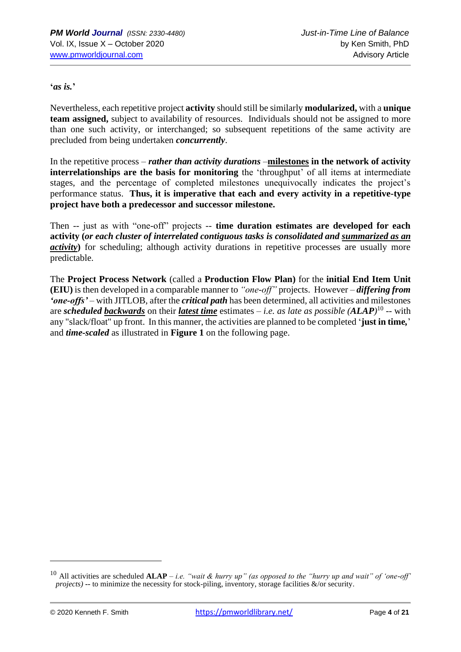**'***as is.***'**

Nevertheless, each repetitive project **activity** should still be similarly **modularized,** with a **unique team assigned,** subject to availability of resources. Individuals should not be assigned to more than one such activity, or interchanged; so subsequent repetitions of the same activity are precluded from being undertaken *concurrently*.

In the repetitive process – *rather than activity durations* –**milestones in the network of activity interrelationships are the basis for monitoring** the 'throughput' of all items at intermediate stages, and the percentage of completed milestones unequivocally indicates the project's performance status. **Thus, it is imperative that each and every activity in a repetitive-type project have both a predecessor and successor milestone.**

Then -- just as with "one-off" projects -- **time duration estimates are developed for each activity (***or each cluster of interrelated contiguous tasks is consolidated and summarized as an activity*) for scheduling; although activity durations in repetitive processes are usually more predictable.

The **Project Process Network** (called a **Production Flow Plan)** for the **initial End Item Unit (EIU)** is then developed in a comparable manner to *"one-off"* projects. However – *differing from 'one-offs'* – with JITLOB, after the *critical path* has been determined, all activities and milestones are *scheduled backwards* on their *latest time* estimates – *i.e. as late as possible (ALAP)* 10 -- with any "slack/float" up front. In this manner, the activities are planned to be completed '**just in time***,*' and *time-scaled* as illustrated in **Figure 1** on the following page.

<sup>10</sup> All activities are scheduled **ALAP** *– i.e. "wait & hurry up" (as opposed to the "hurry up and wait" of 'one-off' projects)* **--** to minimize the necessity for stock-piling, inventory, storage facilities &/or security.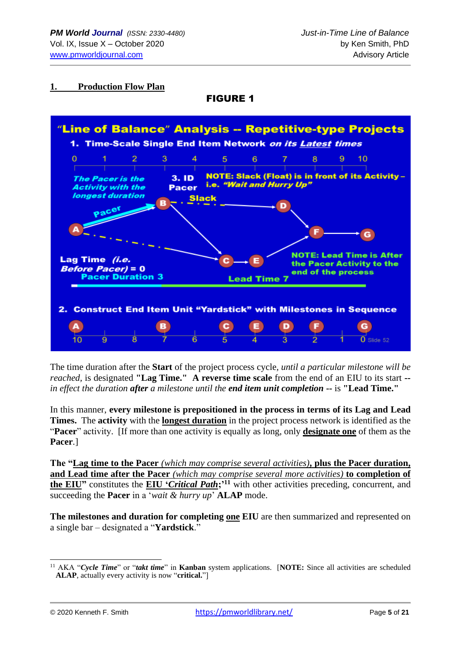#### **1. Production Flow Plan**

# FIGURE 1



The time duration after the **Start** of the project process cycle*, until a particular milestone will be reached,* is designated **"Lag Time." A reverse time scale** from the end of an EIU to its start *- in effect the duration after a milestone until the end item unit completion* **--** is **"Lead Time."**

In this manner, **every milestone is prepositioned in the process in terms of its Lag and Lead Times.** The **activity** with the **longest duration** in the project process network is identified as the "**Pacer**" activity. [If more than one activity is equally as long, only **designate one** of them as the **Pacer**.]

**The "Lag time to the Pacer** *(which may comprise several activities)***, plus the Pacer duration, and Lead time after the Pacer** *(which may comprise several more activities)* **to completion of the EIU"** constitutes the **EIU '***Critical Path***;'<sup>11</sup>** with other activities preceding, concurrent, and succeeding the **Pacer** in a '*wait & hurry up*' **ALAP** mode.

**The milestones and duration for completing one EIU** are then summarized and represented on a single bar – designated a "**Yardstick**."

<sup>11</sup> AKA "*Cycle Time*" or "*takt time*" in **Kanban** system applications. [**NOTE:** Since all activities are scheduled **ALAP**, actually every activity is now "**critical.**"]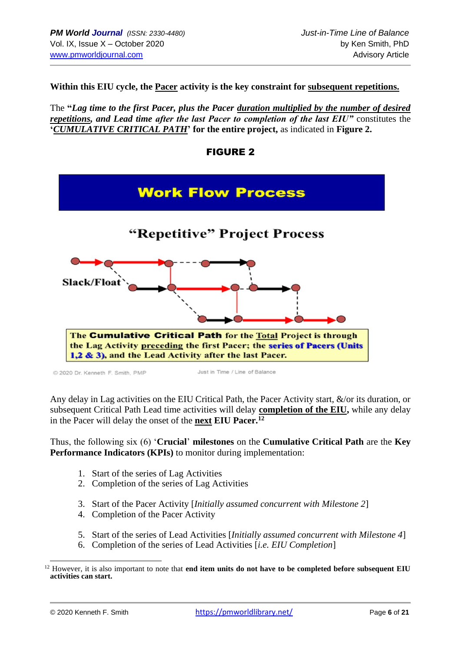**Within this EIU cycle, the Pacer activity is the key constraint for subsequent repetitions.**

The **"***Lag time to the first Pacer, plus the Pacer duration multiplied by the number of desired repetitions, and Lead time after the last Pacer to completion of the last EIU"* constitutes the **'***CUMULATIVE CRITICAL PATH***' for the entire project,** as indicated in **Figure 2.**

|                                  | <b>Work Flow Process</b>                                                                                                                                                                                 |
|----------------------------------|----------------------------------------------------------------------------------------------------------------------------------------------------------------------------------------------------------|
|                                  | "Repetitive" Project Process                                                                                                                                                                             |
| <b>Slack/Float</b>               |                                                                                                                                                                                                          |
|                                  | The Cumulative Critical Path for the <b>Total Project is through</b><br>the Lag Activity preceding the first Pacer; the series of Pacers (Units<br>1,2 & 3), and the Lead Activity after the last Pacer. |
| C 2020 Dr. Kenneth F. Smith, PMP | Just in Time / Line of Balance                                                                                                                                                                           |



Any delay in Lag activities on the EIU Critical Path, the Pacer Activity start, &/or its duration, or subsequent Critical Path Lead time activities will delay **completion of the EIU,** while any delay in the Pacer will delay the onset of the **next EIU Pacer. 12**

Thus, the following six (6) '**Crucial**' **milestones** on the **Cumulative Critical Path** are the **Key Performance Indicators (KPIs)** to monitor during implementation:

- 1. Start of the series of Lag Activities
- 2. Completion of the series of Lag Activities
- 3. Start of the Pacer Activity [*Initially assumed concurrent with Milestone 2*]
- 4. Completion of the Pacer Activity
- 5. Start of the series of Lead Activities [*Initially assumed concurrent with Milestone 4*]
- 6. Completion of the series of Lead Activities [*i.e. EIU Completion*]

<sup>&</sup>lt;sup>12</sup> However, it is also important to note that **end item units do not have to be completed before subsequent EIU activities can start.**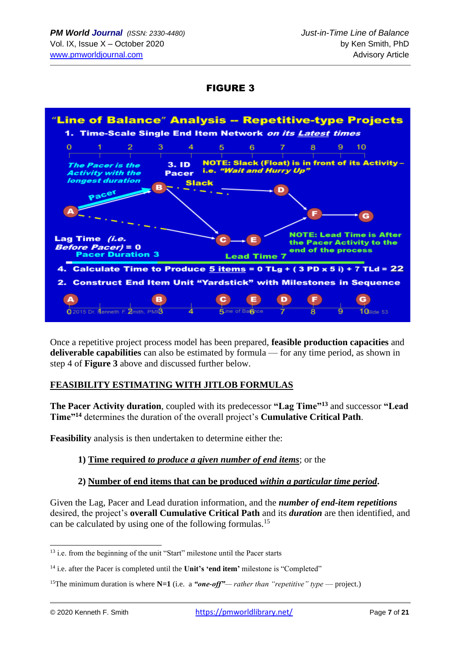FIGURE 3



Once a repetitive project process model has been prepared, **feasible production capacities** and **deliverable capabilities** can also be estimated by formula — for any time period, as shown in step 4 of **Figure 3** above and discussed further below.

# **FEASIBILITY ESTIMATING WITH JITLOB FORMULAS**

**The Pacer Activity duration**, coupled with its predecessor **"Lag Time"<sup>13</sup>** and successor **"Lead Time"<sup>14</sup>** determines the duration of the overall project's **Cumulative Critical Path**.

**Feasibility** analysis is then undertaken to determine either the:

# **1) Time required** *to produce a given number of end items*; or the

# **2) Number of end items that can be produced** *within a particular time period***.**

Given the Lag, Pacer and Lead duration information, and the *number of end-item repetitions* desired, the project's **overall Cumulative Critical Path** and its *duration* are then identified, and can be calculated by using one of the following formulas.<sup>15</sup>

<sup>&</sup>lt;sup>13</sup> i.e. from the beginning of the unit "Start" milestone until the Pacer starts

<sup>14</sup> i.e. after the Pacer is completed until the **Unit's 'end item'** milestone is "Completed"

<sup>&</sup>lt;sup>15</sup>The minimum duration is where  $N=1$  (i.e. a *"one-off"— rather than "repetitive" type* — project.)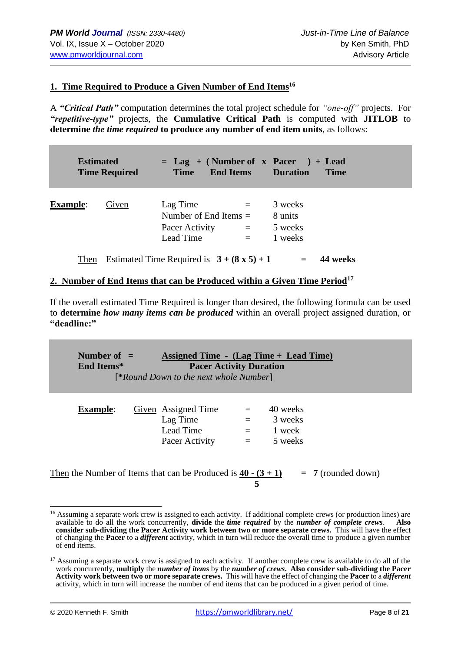### **1. Time Required to Produce a Given Number of End Items<sup>16</sup>**

A *"Critical Path"* computation determines the total project schedule for *"one-off"* projects. For *"repetitive-type"* projects, the **Cumulative Critical Path** is computed with **JITLOB** to **determine** *the time required* **to produce any number of end item units**, as follows:

| <b>Estimated</b> | <b>Time Required</b> | $=$ Lag + (Number of x Pacer) + Lead<br><b>End Items</b><br><b>Time</b> |                   | <b>Example 1</b> Duration                | <b>Time</b> |
|------------------|----------------------|-------------------------------------------------------------------------|-------------------|------------------------------------------|-------------|
| <b>Example:</b>  | Given                | Lag Time<br>Number of End Items $=$<br>Pacer Activity<br>Lead Time      | $=$<br>$=$<br>$=$ | 3 weeks<br>8 units<br>5 weeks<br>1 weeks |             |
| Then             |                      | Estimated Time Required is $3 + (8 \times 5) + 1$                       |                   |                                          | 44 weeks    |

#### **2. Number of End Items that can be Produced within a Given Time Period<sup>17</sup>**

If the overall estimated Time Required is longer than desired, the following formula can be used to **determine** *how many items can be produced* within an overall project assigned duration, or **"deadline:"**

**Number of = Assigned Time - (Lag Time + Lead Time) End Items\* Pacer Activity Duration** [**\****Round Down to the next whole Number*]

| <b>Example:</b> | Given Assigned Time | $=$ | 40 weeks |
|-----------------|---------------------|-----|----------|
|                 | Lag Time            | $=$ | 3 weeks  |
|                 | Lead Time           | $=$ | 1 week   |
|                 | Pacer Activity      | $=$ | 5 weeks  |

Then the Number of Items that can be Produced is  $\frac{40 \cdot (3 + 1)}{2}$  = 7 (rounded down)  **5** 

<sup>&</sup>lt;sup>16</sup> Assuming a separate work crew is assigned to each activity. If additional complete crews (or production lines) are available to do all the work concurrently, **divide** the *time required* by the *number of complete crews*. **Also consider sub-dividing the Pacer Activity work between two or more separate crews.** This will have the effect of changing the **Pacer** to a *different* activity, which in turn will reduce the overall time to produce a given number of end items.

 $17$  Assuming a separate work crew is assigned to each activity. If another complete crew is available to do all of the work concurrently, **multiply** the *number of items* by the *number of crews***. Also consider sub-dividing the Pacer Activity work between two or more separate crews.** This will have the effect of changing the **Pacer** to a *different* activity, which in turn will increase the number of end items that can be produced in a given period of time.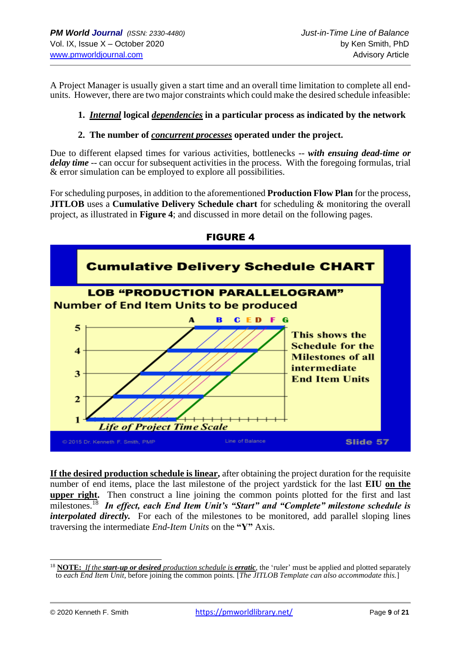A Project Manager is usually given a start time and an overall time limitation to complete all endunits. However, there are two major constraints which could make the desired schedule infeasible:

# **1.** *Internal* **logical** *dependencies* **in a particular process as indicated by the network**

### **2. The number of** *concurrent processes* **operated under the project.**

Due to different elapsed times for various activities, bottlenecks -- *with ensuing dead-time or delay time* -- can occur for subsequent activities in the process. With the foregoing formulas, trial & error simulation can be employed to explore all possibilities.

For scheduling purposes, in addition to the aforementioned **Production Flow Plan** for the process, **JITLOB** uses a **Cumulative Delivery Schedule chart** for scheduling & monitoring the overall project, as illustrated in **Figure 4**; and discussed in more detail on the following pages.



FIGURE 4

**If the desired production schedule is linear,** after obtaining the project duration for the requisite number of end items, place the last milestone of the project yardstick for the last **EIU on the upper right.** Then construct a line joining the common points plotted for the first and last milestones.<sup>18</sup> *In effect, each End Item Unit's "Start" and "Complete" milestone schedule is interpolated directly*. For each of the milestones to be monitored, add parallel sloping lines traversing the intermediate *End-Item Units* on the **"Y"** Axis.

<sup>18</sup> **NOTE:** *If the start-up or desired production schedule is erratic*, the 'ruler' must be applied and plotted separately to *each End Item Unit*, before joining the common points. [*The JITLOB Template can also accommodate this.*]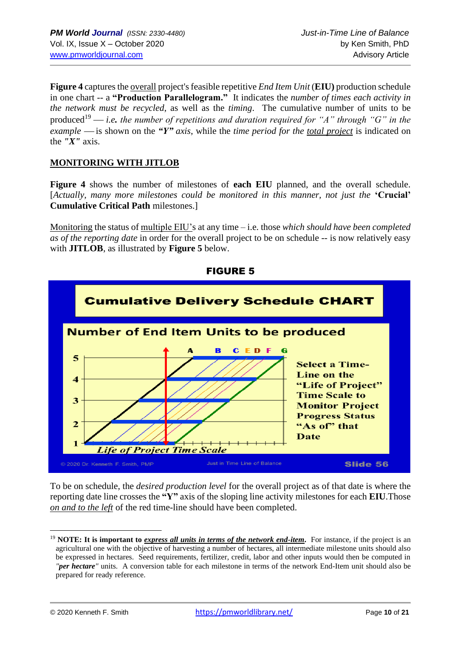**Figure 4** capturesthe overall project's feasible repetitive *End Item Unit* (**EIU)** production schedule in one chart -- a **"Production Parallelogram."** It indicates the *number of times each activity in the network must be recycled*, as well as the *timing*. The cumulative number of units to be produced<sup>19</sup> — *i.e.* the number of repetitions and duration required for "A" through "G" in the *example* — is shown on the *"Y" axis*, while the *time period for the total project* is indicated on the *"X"* axis.

# **MONITORING WITH JITLOB**

**Figure 4** shows the number of milestones of **each EIU** planned, and the overall schedule. [*Actually, many more milestones could be monitored in this manner, not just the* **'Crucial' Cumulative Critical Path** milestones.]

Monitoring the status of multiple EIU's at any time – i.e. those *which should have been completed as of the reporting date* in order for the overall project to be on schedule *--* is now relatively easy with **JITLOB**, as illustrated by **Figure 5** below.



FIGURE 5

To be on schedule, the *desired production level* for the overall project as of that date is where the reporting date line crosses the **"Y"** axis of the sloping line activity milestones for each **EIU**.Those *on and to the left* of the red time-line should have been completed.

<sup>19</sup> **NOTE: It is important to** *express all units in terms of the network end-item***.** For instance, if the project is an agricultural one with the objective of harvesting a number of hectares, all intermediate milestone units should also be expressed in hectares. Seed requirements, fertilizer, credit, labor and other inputs would then be computed in *"per hectare"* units. A conversion table for each milestone in terms of the network End-Item unit should also be prepared for ready reference.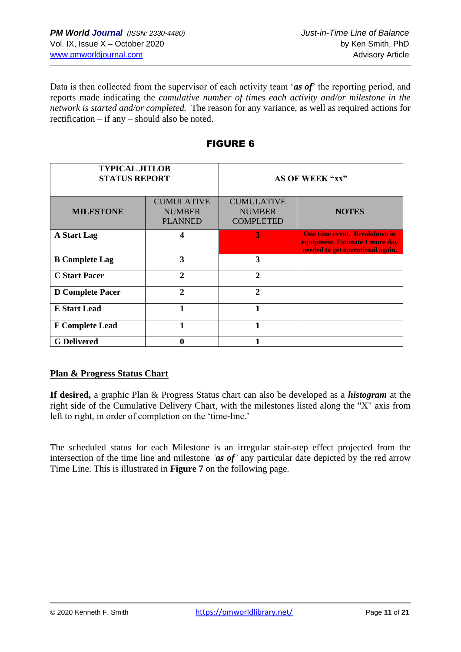Data is then collected from the supervisor of each activity team '*as of*' the reporting period, and reports made indicating the *cumulative number of times each activity and/or milestone in the network is started and/or completed.* The reason for any variance, as well as required actions for rectification – if any – should also be noted.

| <b>TYPICAL JITLOB</b><br><b>STATUS REPORT</b> |                                                      | AS OF WEEK "xx"                                        |                                                                                                           |  |  |  |  |  |
|-----------------------------------------------|------------------------------------------------------|--------------------------------------------------------|-----------------------------------------------------------------------------------------------------------|--|--|--|--|--|
| <b>MILESTONE</b>                              | <b>CUMULATIVE</b><br><b>NUMBER</b><br><b>PLANNED</b> | <b>CUMULATIVE</b><br><b>NUMBER</b><br><b>COMPLETED</b> | <b>NOTES</b>                                                                                              |  |  |  |  |  |
| A Start Lag                                   |                                                      | 3                                                      | <b>One time event. Breakdown in</b><br>equipment. Estimate 1 more day<br>needed to get operational again. |  |  |  |  |  |
| <b>B</b> Complete Lag                         | 3                                                    | 3                                                      |                                                                                                           |  |  |  |  |  |
| <b>C</b> Start Pacer                          | $\mathbf{2}$                                         | $\mathbf{2}$                                           |                                                                                                           |  |  |  |  |  |
| <b>D</b> Complete Pacer                       | $\mathbf{2}$                                         | $\mathbf{2}$                                           |                                                                                                           |  |  |  |  |  |
| <b>E</b> Start Lead                           |                                                      | 1                                                      |                                                                                                           |  |  |  |  |  |
| <b>F</b> Complete Lead                        |                                                      | 1                                                      |                                                                                                           |  |  |  |  |  |
| <b>G</b> Delivered                            |                                                      |                                                        |                                                                                                           |  |  |  |  |  |

# FIGURE 6

# **Plan & Progress Status Chart**

**If desired,** a graphic Plan & Progress Status chart can also be developed as a *histogram* at the right side of the Cumulative Delivery Chart, with the milestones listed along the "X" axis from left to right, in order of completion on the 'time-line.'

The scheduled status for each Milestone is an irregular stair-step effect projected from the intersection of the time line and milestone *'as of'* any particular date depicted by the red arrow Time Line. This is illustrated in **Figure 7** on the following page.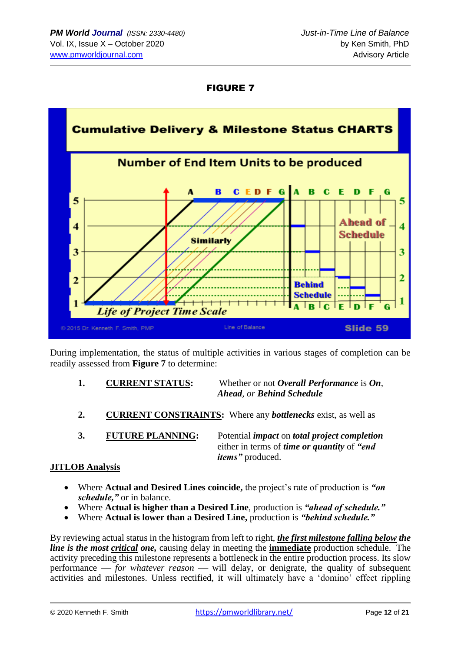# FIGURE 7



During implementation, the status of multiple activities in various stages of completion can be readily assessed from **Figure 7** to determine:

- **1. CURRENT STATUS:** Whether or not *Overall Performance* is *On*, *Ahead, or Behind Schedule*
- **2. CURRENT CONSTRAINTS:** Where any *bottlenecks* exist, as well as
- 

**3. FUTURE PLANNING:** Potential *impact* on *total project completion* either in terms of *time or quantity* of *"end items"* produced.

# **JITLOB Analysis**

- Where **Actual and Desired Lines coincide,** the project's rate of production is *"on schedule,"* or in balance.
- Where **Actual is higher than a Desired Line**, production is *"ahead of schedule."*
- Where **Actual is lower than a Desired Line,** production is *"behind schedule."*

By reviewing actual status in the histogram from left to right, *the first milestone falling below the line is the most critical one,* causing delay in meeting the **immediate** production schedule.The activity preceding this milestone represents a bottleneck in the entire production process. Its slow performance — *for whatever reason* — will delay, or denigrate, the quality of subsequent activities and milestones. Unless rectified, it will ultimately have a 'domino' effect rippling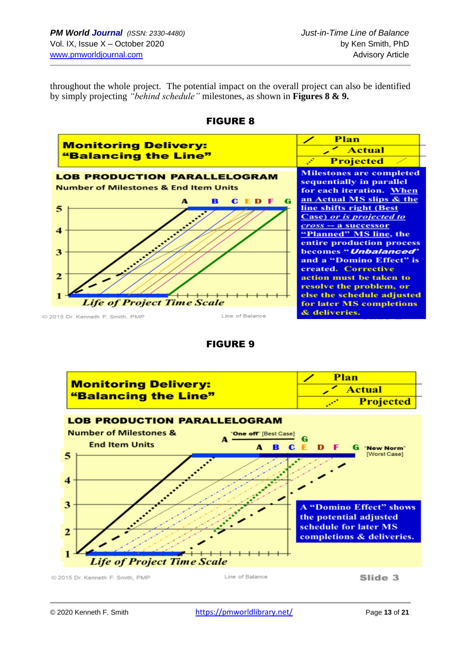throughout the whole project. The potential impact on the overall project can also be identified by simply projecting *"behind schedule"* milestones, as shown in **Figures 8 & 9.** 





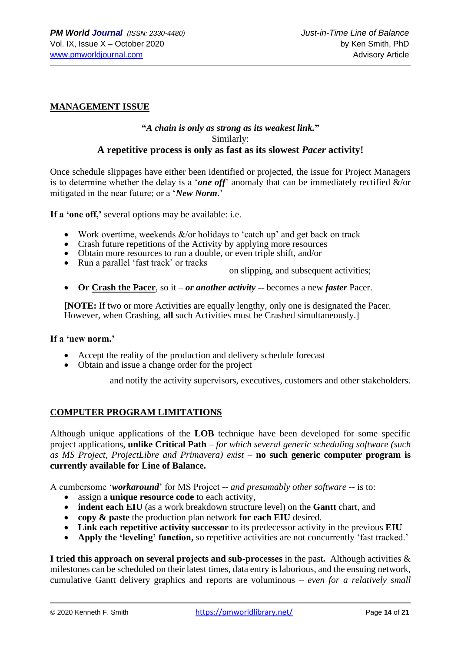### **MANAGEMENT ISSUE**

#### **"***A chain is only as strong as its weakest link.***"** Similarly: **A repetitive process is only as fast as its slowest** *Pacer* **activity!**

Once schedule slippages have either been identified or projected, the issue for Project Managers is to determine whether the delay is a '*one off*' anomaly that can be immediately rectified &/or mitigated in the near future; or a '*New Norm*.'

**If a 'one off,'** several options may be available: i.e.

- Work overtime, weekends  $&\&$ /or holidays to 'catch up' and get back on track
- Crash future repetitions of the Activity by applying more resources
- Obtain more resources to run a double, or even triple shift, and/or
- Run a parallel 'fast track' or tracks

on slipping, and subsequent activities;

• **Or Crash the Pacer**, so it – *or another activity* -- becomes a new *faster* Pacer.

**[NOTE:** If two or more Activities are equally lengthy, only one is designated the Pacer. However, when Crashing, **all** such Activities must be Crashed simultaneously.]

#### **If a 'new norm.'**

- Accept the reality of the production and delivery schedule forecast
- Obtain and issue a change order for the project

and notify the activity supervisors, executives, customers and other stakeholders.

#### **COMPUTER PROGRAM LIMITATIONS**

Although unique applications of the **LOB** technique have been developed for some specific project applications, **unlike Critical Path** – *for which several generic scheduling software (such as MS Project, ProjectLibre and Primavera) exist* – **no such generic computer program is currently available for Line of Balance.**

A cumbersome '*workaround*' for MS Project -- *and presumably other software* -- is to:

- assign a **unique resource code** to each activity,
- **indent each EIU** (as a work breakdown structure level) on the **Gantt** chart, and
- **copy & paste** the production plan network **for each EIU** desired.
- **Link each repetitive activity successor** to its predecessor activity in the previous **EIU**
- **Apply the 'leveling' function,** so repetitive activities are not concurrently 'fast tracked.'

**I tried this approach on several projects and sub-processes** in the past**.** Although activities & milestones can be scheduled on their latest times, data entry is laborious, and the ensuing network, cumulative Gantt delivery graphics and reports are voluminous – *even for a relatively small*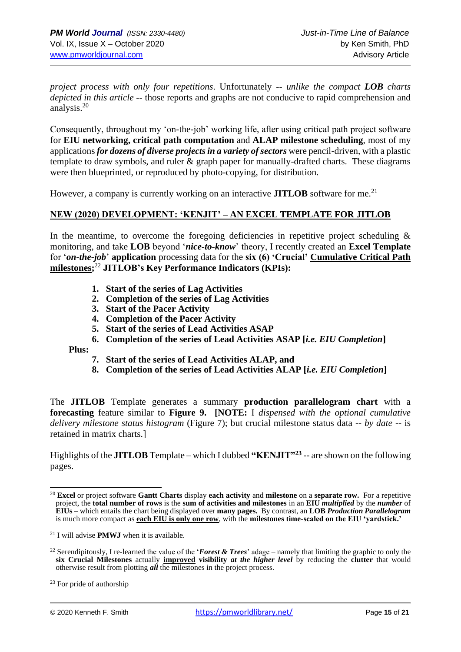*project process with only four repetitions*. Unfortunately -- *unlike the compact LOB charts depicted in this article* -- those reports and graphs are not conducive to rapid comprehension and analysis.<sup>20</sup>

Consequently, throughout my 'on-the-job' working life, after using critical path project software for **EIU networking, critical path computation** and **ALAP milestone scheduling**, most of my applications *for dozens of diverse projects in a variety of sectors* were pencil-driven, with a plastic template to draw symbols, and ruler & graph paper for manually-drafted charts. These diagrams were then blueprinted, or reproduced by photo-copying, for distribution.

However, a company is currently working on an interactive **JITLOB** software for me.<sup>21</sup>

#### **NEW (2020) DEVELOPMENT: 'KENJIT' – AN EXCEL TEMPLATE FOR JITLOB**

In the meantime, to overcome the foregoing deficiencies in repetitive project scheduling  $\&$ monitoring, and take **LOB** beyond '*nice-to-know*' theory, I recently created an **Excel Template** for '*on-the-job*' **application** processing data for the **six (6) 'Crucial' Cumulative Critical Path milestones;** <sup>22</sup> **JITLOB's Key Performance Indicators (KPIs):**

- **1. Start of the series of Lag Activities**
- **2. Completion of the series of Lag Activities**
- **3. Start of the Pacer Activity**
- **4. Completion of the Pacer Activity**
- **5. Start of the series of Lead Activities ASAP**
- **6. Completion of the series of Lead Activities ASAP [***i.e. EIU Completion***]**

 **Plus:** 

- **7. Start of the series of Lead Activities ALAP, and**
- **8. Completion of the series of Lead Activities ALAP [***i.e. EIU Completion***]**

The **JITLOB** Template generates a summary **production parallelogram chart** with a **forecasting** feature similar to **Figure 9. [NOTE:** I *dispensed with the optional cumulative delivery milestone status histogram* (Figure 7); but crucial milestone status data -- *by date* -- is retained in matrix charts.]

Highlights of the **JITLOB** Template – which I dubbed **"KENJIT"<sup>23</sup>** -- are shown on the following pages.

<sup>20</sup> **Excel** or project software **Gantt Charts** display **each activity** and **milestone** on a **separate row.** For a repetitive project, the **total number of rows** is the **sum of activities and milestones** in an **EIU** *multiplied* by the *number* of **EIUs –** which entails the chart being displayed over **many pages.** By contrast, an **LOB** *Production Parallelogram* is much more compact as **each EIU is only one row**, with the **milestones time-scaled on the EIU 'yardstick.'**

<sup>21</sup> I will advise **PMWJ** when it is available.

<sup>22</sup> Serendipitously, I re-learned the value of the '*Forest & Trees*' adage – namely that limiting the graphic to only the **six Crucial Milestones** actually **improved visibility** *at the higher level* by reducing the **clutter** that would otherwise result from plotting *all* the milestones in the project process.

 $23$  For pride of authorship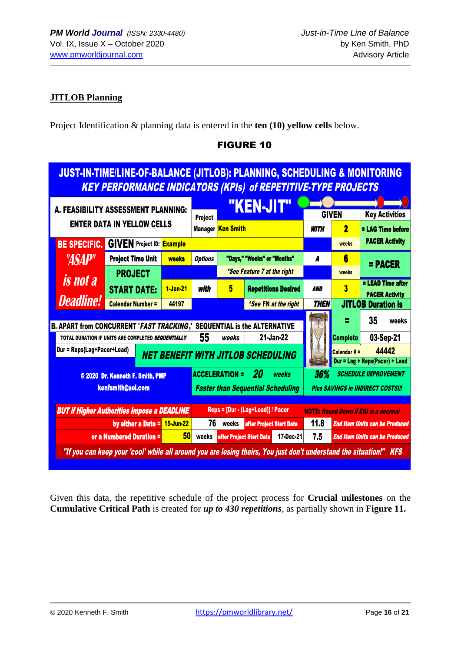# **JITLOB Planning**

Project Identification & planning data is entered in the **ten (10) yellow cells** below.

| <b>JUST-IN-TIME/LINE-OF-BALANCE (JITLOB): PLANNING, SCHEDULING &amp; MONITORING</b><br><b>KEY PERFORMANCE INDICATORS (KPIs) of REPETITIVE-TYPE PROJECTS</b> |                                                                                                                    |             |                                                                  |                          |                                                         |             |                                                                         |                                                   |  |  |  |  |  |
|-------------------------------------------------------------------------------------------------------------------------------------------------------------|--------------------------------------------------------------------------------------------------------------------|-------------|------------------------------------------------------------------|--------------------------|---------------------------------------------------------|-------------|-------------------------------------------------------------------------|---------------------------------------------------|--|--|--|--|--|
|                                                                                                                                                             | A. FEASIBILITY ASSESSMENT PLANNING:                                                                                |             | <b>GIVEN</b>                                                     |                          |                                                         |             |                                                                         |                                                   |  |  |  |  |  |
|                                                                                                                                                             | <b>ENTER DATA IN YELLOW CELLS</b>                                                                                  |             | Project                                                          | <b>Manager Ken Smith</b> |                                                         | <b>WITH</b> | 2                                                                       | <b>Key Activities</b><br>= LAG Time before        |  |  |  |  |  |
| <b>BE SPECIFIC.</b>                                                                                                                                         | <b>GIVEN</b> Project ID: Example                                                                                   |             |                                                                  |                          |                                                         |             | weeks                                                                   | <b>PACER Activity</b>                             |  |  |  |  |  |
| <i><b>"ASAP"</b></i>                                                                                                                                        | <b>Project Time Unit</b>                                                                                           | weeks       | <b>Options</b>                                                   |                          | "Days," "Weeks" or "Months"                             | A           | 6                                                                       | $=$ PACER                                         |  |  |  |  |  |
|                                                                                                                                                             | <b>PROJECT</b>                                                                                                     |             |                                                                  |                          | *See Feature 7 at the right                             |             | weeks                                                                   |                                                   |  |  |  |  |  |
| <i>is not a</i>                                                                                                                                             | <b>START DATE:</b>                                                                                                 | $1$ -Jan-21 | with                                                             | 5                        | <b>Repetitions Desired</b>                              | <b>AND</b>  | $\overline{\mathbf{3}}$                                                 | <b>= LEAD Time after</b><br><b>PACER Activity</b> |  |  |  |  |  |
| <b>Deadline!</b>                                                                                                                                            | <b>Calendar Number =</b>                                                                                           | 44197       |                                                                  |                          | *See FN at the right                                    | <b>THEN</b> |                                                                         | <b>JITLOB Duration is</b>                         |  |  |  |  |  |
|                                                                                                                                                             | <b>B. APART from CONCURRENT 'FAST TRACKING,'</b><br>TOTAL DURATION IF UNITS ARE COMPLETED SEQUENTIALLY             |             | <b>SEQUENTIAL is the ALTERNATIVE</b><br>55<br>21-Jan-22<br>weeks |                          |                                                         |             | <b>Complete</b>                                                         | 35<br>weeks<br>03-Sep-21                          |  |  |  |  |  |
| Dur = Reps(Lag+Pacer+Lead)                                                                                                                                  |                                                                                                                    |             |                                                                  |                          | <b>NET BENEFIT WITH JITLOB SCHEDULING</b>               |             | Calendar $# =$                                                          | 44442<br>Dur = Lag + Reps(Pacer) + Lead           |  |  |  |  |  |
|                                                                                                                                                             | © 2020 Dr. Kenneth F. Smith, PMP<br>kenfsmith@aol.com                                                              |             |                                                                  | <b>ACCELERATION =</b>    | 20<br>weeks<br><b>Faster than Sequential Scheduling</b> | 36%         | <b>SCHEDULE IMPROVEMENT</b><br><b>Plus SAVINGS in INDIRECT COSTS!!!</b> |                                                   |  |  |  |  |  |
|                                                                                                                                                             | <b>BUT if Higher Authorities Impose a DEADLINE</b>                                                                 |             |                                                                  |                          | Reps = [Dur - (Lag+Lead)] / Pacer                       |             | <b>NOTE: Round Down if EIU is a decimal</b>                             |                                                   |  |  |  |  |  |
|                                                                                                                                                             | by either a Date $=$ 15-Jun-22                                                                                     |             | 76                                                               | weeks                    | after Project Start Date                                | 11.8        |                                                                         | <b>End Item Units can be Produced</b>             |  |  |  |  |  |
|                                                                                                                                                             | or a Numbered Duration =                                                                                           | 50          | weeks                                                            |                          | after Project Start Date<br>17-Dec-21                   | 7.5         |                                                                         | <b>End Item Units can be Produced</b>             |  |  |  |  |  |
|                                                                                                                                                             | "If you can keep your 'cool' while all around you are losing theirs, You just don't understand the situation!" KFS |             |                                                                  |                          |                                                         |             |                                                                         |                                                   |  |  |  |  |  |

# FIGURE 10

Given this data, the repetitive schedule of the project process for **Crucial milestones** on the **Cumulative Critical Path** is created for *up to 430 repetitions*, as partially shown in **Figure 11.**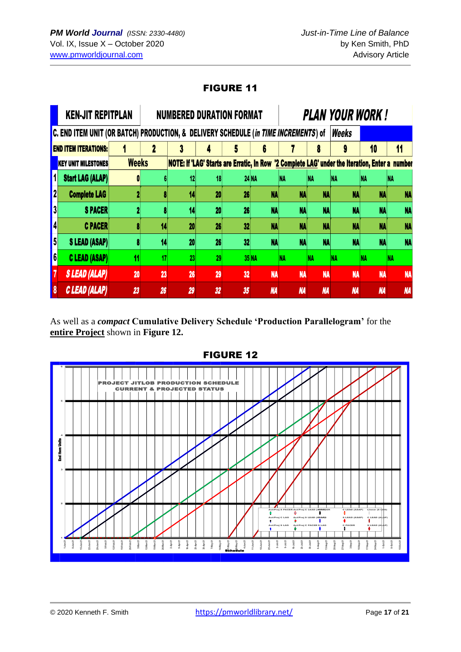# FIGURE 11

|                  | <b>KEN-JIT REPITPLAN</b>                                                            |              |    |                       |                 | <b>NUMBERED DURATION FORMAT</b> |              |            |           | PLAN YOUR WORK !                                                                               |           |           |
|------------------|-------------------------------------------------------------------------------------|--------------|----|-----------------------|-----------------|---------------------------------|--------------|------------|-----------|------------------------------------------------------------------------------------------------|-----------|-----------|
|                  | C. END ITEM UNIT (OR BATCH) PRODUCTION, & DELIVERY SCHEDULE (in TIME INCREMENTS) of |              |    |                       |                 |                                 |              |            |           | Weeks                                                                                          |           |           |
|                  | <b>END ITEM ITERATIONS:</b>                                                         |              |    |                       |                 |                                 |              |            | n         | 9                                                                                              | 10        | 11        |
|                  | KEY UNIT MILESTONES                                                                 | <b>Weeks</b> |    |                       |                 |                                 |              |            |           | NOTE: If 'LAG' Starts are Erratic, In Row '2 Complete LAG' under the Iteration, Enter a number |           |           |
| 1                | <b>Start LAG (ALAP)</b>                                                             |              |    | 121                   |                 |                                 | <b>24 NA</b> | <b>INA</b> | NA        | NA                                                                                             | NA        | NA        |
| 2                | <b>Complete LAG</b>                                                                 |              |    | 14                    | 20 <sub>l</sub> | 26 <sub>l</sub>                 | <b>NA</b>    | <b>NA</b>  | <b>NA</b> | <b>NA</b>                                                                                      | <b>NA</b> | NA        |
| $\vert 3 \vert$  | <b>SPACER</b>                                                                       |              |    | 14                    | 20 <sub>l</sub> | 26                              | <b>NA</b>    | <b>NA</b>  | <b>NA</b> | <b>NA</b>                                                                                      | <b>NA</b> | NA        |
| 4                | <b>C PACER</b>                                                                      |              |    | 20 <sup>1</sup><br>14 | 26              | 32                              | <b>NA</b>    | <b>NA</b>  | <b>NA</b> | <b>NA</b>                                                                                      | <b>NA</b> |           |
| $\vert 5 \vert$  | <b>S LEAD (ASAP)</b>                                                                |              |    | 20 <sub>l</sub><br>14 | 26              | 32                              | <b>NA</b>    | <b>NA</b>  | <b>NA</b> | <b>NA</b>                                                                                      | <b>NA</b> | NA        |
| $\vert 6 \vert$  | <b>C LEAD (ASAP)</b>                                                                | 11           |    | 17 <sup>1</sup><br>23 | 29              |                                 | <b>35 NA</b> | <b>NA</b>  |           | NА                                                                                             |           |           |
|                  | <b>SLEAD (ALAP)</b>                                                                 | 20           | 23 | 26                    | 29              | 32                              | <b>NA</b>    | <b>NA</b>  | <b>NA</b> | <b>NA</b>                                                                                      | <b>NA</b> | <b>NA</b> |
| $\boldsymbol{8}$ | C LEAD (ALAP)                                                                       | 23           | 26 | 29                    | 32              | 35                              | <b>NA</b>    | <b>NA</b>  | <b>NA</b> | <b>NA</b>                                                                                      | <b>NA</b> | <b>NA</b> |

As well as a *compact* **Cumulative Delivery Schedule 'Production Parallelogram'** for the **entire Project** shown in **Figure 12.**



FIGURE 12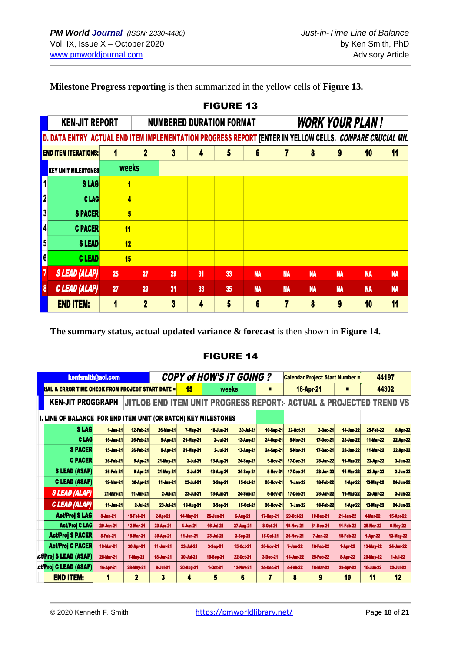**Milestone Progress reporting** is then summarized in the yellow cells of **Figure 13.**

|                         |                                                                                                          |           |              |    |    | I IVVI\E IV                     |                |           |           |           |                        |           |
|-------------------------|----------------------------------------------------------------------------------------------------------|-----------|--------------|----|----|---------------------------------|----------------|-----------|-----------|-----------|------------------------|-----------|
|                         | <b>KEN-JIT REPORT</b>                                                                                    |           |              |    |    | <b>NUMBERED DURATION FORMAT</b> |                |           |           |           | <b>WORK YOUR PLAN!</b> |           |
|                         | D. DATA ENTRY ACTUAL END ITEM IMPLEMENTATION PROGRESS REPORT [ENTER IN YELLOW CELLS. COMPARE CRUCIAL MIL |           |              |    |    |                                 |                |           |           |           |                        |           |
|                         | <b>END ITEM ITERATIONS:</b>                                                                              |           | $\mathbf{2}$ | 3  | 4  | 5                               | 6              |           | 8         | 9         | 10                     | 11        |
|                         | <b>KEY UNIT MILESTONES</b>                                                                               | weeks     |              |    |    |                                 |                |           |           |           |                        |           |
| $\overline{\mathbf{1}}$ | SLAG                                                                                                     |           |              |    |    |                                 |                |           |           |           |                        |           |
| $\mathbf{2}$            | <b>CLAG</b>                                                                                              |           |              |    |    |                                 |                |           |           |           |                        |           |
| $\overline{\mathbf{3}}$ | <b>SPACER</b>                                                                                            |           |              |    |    |                                 |                |           |           |           |                        |           |
| 4                       | <b>C PACER</b>                                                                                           | 11        |              |    |    |                                 |                |           |           |           |                        |           |
| 5                       | S LEAD                                                                                                   | 12        |              |    |    |                                 |                |           |           |           |                        |           |
| 6                       | <b>CLEAD</b>                                                                                             | <b>15</b> |              |    |    |                                 |                |           |           |           |                        |           |
| 7                       | <b>SLEAD (ALAP)</b>                                                                                      | 25        | 27           | 29 | 31 | 33                              | <b>NA</b>      | <b>NA</b> | <b>NA</b> | <b>NA</b> | <b>NA</b>              | <b>NA</b> |
| $\boldsymbol{\delta}$   | C LEAD (ALAP)                                                                                            | 27        | 29           | 31 | 33 | 35                              | <b>NA</b>      | <b>NA</b> | <b>NA</b> | <b>NA</b> | <b>NA</b>              | <b>NA</b> |
|                         | <b>END ITEM:</b>                                                                                         |           | $\mathbf{2}$ | 3  | 4  | 5                               | $6\phantom{a}$ |           | 8         | 9         | 10                     | 11        |

FIGURE 13

**The summary status, actual updated variance & forecast** is then shown in **Figure 14.**

# FIGURE 14

|                                                                | kenfsmith@aol.com |                  |                  |                  | <b>COPY of HOW'S IT GOING?</b> |                  |                  | <b>Calendar Project Start Number =</b> |                                                                              |                  |                  | 44197            |  |
|----------------------------------------------------------------|-------------------|------------------|------------------|------------------|--------------------------------|------------------|------------------|----------------------------------------|------------------------------------------------------------------------------|------------------|------------------|------------------|--|
| <b>RIAL &amp; ERROR TIME CHECK FROM PROJECT START DATE =</b>   |                   |                  |                  | 15               | weeks                          |                  | Ξ                |                                        | <b>16-Apr-21</b>                                                             | Ξ                |                  | 44302            |  |
| <b>KEN-JIT PROGGRAPH</b>                                       |                   |                  |                  |                  |                                |                  |                  |                                        | <b>JITLOB END ITEM UNIT PROGRESS REPORT: ACTUAL &amp; PROJECTED TREND VS</b> |                  |                  |                  |  |
| I. LINE OF BALANCE FOR END ITEM UNIT (OR BATCH) KEY MILESTONES |                   |                  |                  |                  |                                |                  |                  |                                        |                                                                              |                  |                  |                  |  |
| <b>SLAG</b>                                                    | 1-Jan-21          | <b>12 Feb 21</b> | <b>26 Mar 21</b> | <b>7 May 21</b>  | <b>18-Jun 21</b>               | 30-Jul-21        | 10-Sep-21        | 22-Oct-21                              | 3-Dec-21                                                                     | <b>14-Jan-22</b> | <b>25-Feb-22</b> | 8-Apr-22         |  |
| <b>CLAG</b>                                                    | <b>15-Jan-21</b>  | 26-Feb-21        | 9-Apr-21         | 21-May-21        | 2-Jul-21                       | 13-Aug-21        | 24-Sep-21        | <b>5-Nov-21</b>                        | 17-Dec-21                                                                    | 28-Jan-22        | <b>11-Mar-22</b> | 22-Apr-22        |  |
| <b>SPACER</b>                                                  | <b>15-Jan-21</b>  | 26-Feb-21        | 9-Apr-21         | 21-May-21        | 2-Jul-21                       | <b>13-Aug-21</b> | 24-Sep-21        | <b>5-Nov-21</b>                        | 17-Dec-21                                                                    | 28-Jan-22        | <b>11-Mar-22</b> | 22-Apr-22        |  |
| <b>C PACER</b>                                                 | 26-Feb-21         | 9-Apr 21         | <b>21 May 21</b> | 2-Jul-21         | <b>13-Aug-21</b>               | 24-Sep-21        | <b>5-Nov-21</b>  | 17-Dec-21                              | 28-Jan-22                                                                    | <b>11-Mar-22</b> | 22-Apr-22        | 3-Jun-22         |  |
| <b>SLEAD (ASAP)</b>                                            | <b>26 Feb 21</b>  | 9-Apr 21         | <b>21 May 21</b> | 2 Jul 21         | <b>13 Aug 21</b>               | 24-Sep-21        | <b>5-Nov-21</b>  | 17-Dec-21                              | 28-Jan-22                                                                    | <b>11-Mar-22</b> | <b>22-Apr-22</b> | <b>3-Jun 22</b>  |  |
| <b>C LEAD (ASAP)</b>                                           | <b>19-Mar-21</b>  | 30-Apr 21        | 11-Jun-21        | 23-Jul 21        | 3-Sep 21                       | <b>15 Oct 21</b> | <b>26-Nov-21</b> | <b>7 Jan 22</b>                        | <b>18 Feb 22</b>                                                             | 1 Apr 22         | <b>13-May-22</b> | 24-Jun-22        |  |
| <i><b>SLEAD (ALAP)</b></i>                                     | <b>21 May 21</b>  | <b>11-Jun 21</b> | 2-Jul 21         | <b>23-Jul 21</b> | <b>13-Aug-21</b>               | 24 Seo 21        | <b>5-Nov 21</b>  | 17-Dec-21                              | 28-Jan 22                                                                    | <b>11-Mar-22</b> | <b>22-Apr-22</b> | 3-Jun 22         |  |
| C LEAD (ALAP)                                                  | <b>11-Jun-21</b>  | 2-Jul-21         | 23-Jul-21        | <b>13-Aug-21</b> | 3-Sep-21                       | 15-Oct-21        | <b>26-Nov-21</b> | 7-Jan-22                               | <b>18-Feb-22</b>                                                             | 1-Apr-22         | <b>13-May-22</b> | 24-Jun-22        |  |
| <b>Act/Proj S LAG</b>                                          | 8-Jan-21          | 19-Feb-21        | 2-Apr-21         | <b>14-May-21</b> | 25-Jun-21                      | <b>6-Aug-21</b>  | 17-Sep-21        | 29-Oct-21                              | <b>10-Dec-21</b>                                                             | <b>21-Jan-22</b> | <b>4-Mar-22</b>  | <b>15-Apr-22</b> |  |
| <b>Act/Proj C LAG</b>                                          | 29-Jan-21         | <b>12-Mar-21</b> | 23-Apr-21        | 4-Jun-21         | <b>16-Jul-21</b>               | 27-Aug-21        | 8-Oct-21         | <b>19-Nov-21</b>                       | 31-Dec-21                                                                    | 11-Feb-22        | <b>25-Mar-22</b> | <b>6-May-22</b>  |  |
| <b>Act/Proj S PACER</b>                                        | 5-Feb-21          | <b>19-Mar-21</b> | 30-Apr-21        | 11-Jun-21        | 23-Jul-21                      | 3-Sep-21         | 15-Oct-21        | <b>26-Nov-21</b>                       | <b>7-Jan-22</b>                                                              | <b>18-Feb-22</b> | 1-Apr-22         | <b>13-May-22</b> |  |
| <b>Act/Proj C PACER</b>                                        | <b>19-Mar-21</b>  | 30-Apr-21        | <b>11-Jun-21</b> | 23-Jul-21        | 3-Sep-21                       | 15-Oct-21        | 26-Nov-21        | <b>7-Jan-22</b>                        | 18-Feb-22                                                                    | 1-Apr-22         | <b>13-May-22</b> | 24-Jun-22        |  |
| <b>ct/Proj S LEAD (ASAP)</b>                                   | <b>26-Mar-21</b>  | <b>7-May-21</b>  | <b>18-Jun-21</b> | 30-Jul-21        | 10-Sep-21                      | 22-Oct-21        | 3-Dec-21         | <b>14-Jan-22</b>                       | <b>25-Feb-22</b>                                                             | 8-Apr-22         | <b>20-May-22</b> | 1-Jul-22         |  |
| ct/Proj C LEAD (ASAP)                                          | <b>16-Apr-21</b>  | <b>28-May-21</b> | 9-Jul-21         | 20-Aug-21        | 1-Oct-21                       | <b>12-Nov-21</b> | 24-Dec-21        | 4-Feb-22                               | <b>18-Mar-22</b>                                                             | 29-Apr-22        | <b>10-Jun-22</b> | <b>22-Jul-22</b> |  |
| <b>END ITEM:</b>                                               | 1                 | $\boldsymbol{2}$ | 3                | 4                | 5                              | 6                | 7                | 8                                      | 9                                                                            | 10               | 11               | 12               |  |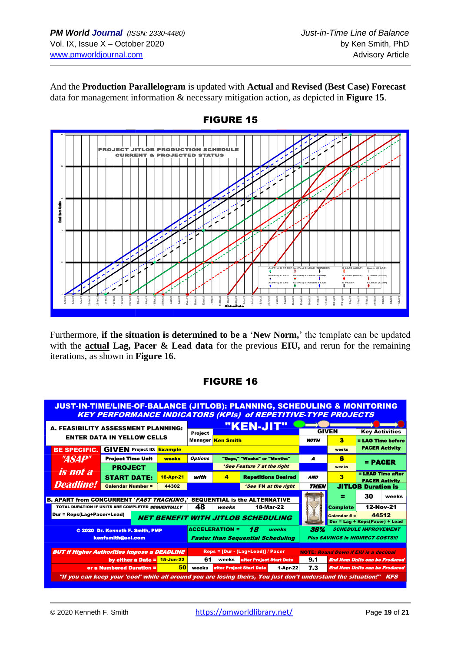And the **Production Parallelogram** is updated with **Actual** and **Revised (Best Case) Forecast** data for management information & necessary mitigation action, as depicted in **Figure 15**.



Furthermore, **if the situation is determined to be a** '**New Norm,**' the template can be updated with the **actual Lag, Pacer & Lead data** for the previous **EIU,** and rerun for the remaining iterations, as shown in **Figure 16.**

# FIGURE 16

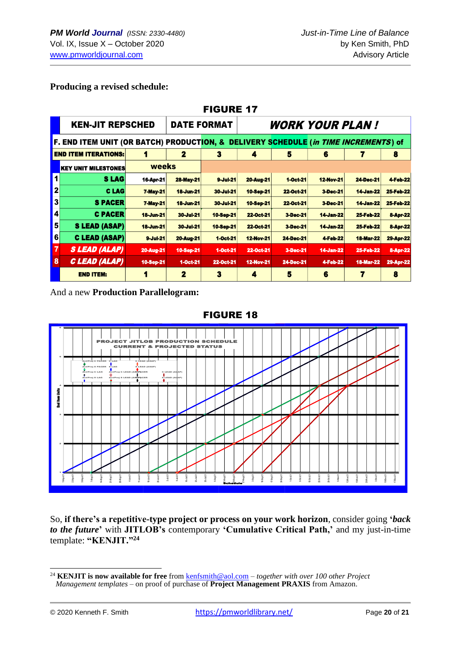### **Producing a revised schedule:**

|                         | <b>FIGURE 17</b>                                                                    |                  |                    |                               |                  |                  |                  |                  |                  |  |  |  |  |  |  |
|-------------------------|-------------------------------------------------------------------------------------|------------------|--------------------|-------------------------------|------------------|------------------|------------------|------------------|------------------|--|--|--|--|--|--|
|                         | <b>KEN-JIT REPSCHED</b>                                                             |                  | <b>DATE FORMAT</b> | <b><i>WORK YOUR PLAN!</i></b> |                  |                  |                  |                  |                  |  |  |  |  |  |  |
|                         | F. END ITEM UNIT (OR BATCH) PRODUCTION, & DELIVERY SCHEDULE (in TIME INCREMENTS) of |                  |                    |                               |                  |                  |                  |                  |                  |  |  |  |  |  |  |
|                         | <b>END ITEM ITERATIONS:</b>                                                         | 4                | $\mathbf{2}$       | 3                             | 4                | 5                | 6                | 7                | 8                |  |  |  |  |  |  |
|                         | <b>KEY UNIT MILESTONES</b>                                                          | weeks            |                    |                               |                  |                  |                  |                  |                  |  |  |  |  |  |  |
| 1                       | <b>SLAG</b>                                                                         | 16-Apr-21        | <b>28-May-21</b>   | $9$ -Jul-21                   | <b>20-Aug-21</b> | 1-Oct-21         | <b>12-Nov-21</b> | <b>24-Dec-21</b> | <b>4-Feb-22</b>  |  |  |  |  |  |  |
| $\overline{\mathbf{2}}$ | <b>CLAG</b>                                                                         | <b>7-May-21</b>  | <b>18-Jun-21</b>   | 30-Jul-21                     | <b>10-Sep-21</b> | 22-Oct-21        | <b>3-Dec-21</b>  | <b>14-Jan-22</b> | <b>25-Feb-22</b> |  |  |  |  |  |  |
| $\overline{\mathbf{3}}$ | <b>S PACER</b>                                                                      | <b>7-May-21</b>  | <b>18-Jun-21</b>   | <b>30-Jul-21</b>              | <b>10-Sep-21</b> | 22-Oct-21        | 3-Dec-21         | <b>14-Jan-22</b> | <b>25-Feb-22</b> |  |  |  |  |  |  |
| 4                       | <b>C PACER</b>                                                                      | <b>18-Jun-21</b> | <b>30-Jul-21</b>   | <b>10-Sep-21</b>              | 22-Oct-21        | 3-Dec-21         | <b>14-Jan-22</b> | <b>25-Feb-22</b> | <b>8-Apr-22</b>  |  |  |  |  |  |  |
| 5                       | <b>S LEAD (ASAP)</b>                                                                | <b>18-Jun-21</b> | <b>30-Jul-21</b>   | <b>10-Sep-21</b>              | 22-Oct-21        | 3-Dec-21         | <b>14-Jan-22</b> | <b>25-Feb-22</b> | 8-Apr-22         |  |  |  |  |  |  |
| 6                       | <b>C LEAD (ASAP)</b>                                                                | $9$ -Jul-21      | <b>20-Aug-21</b>   | 1-Oct-21                      | <b>12-Nov-21</b> | <b>24-Dec-21</b> | 4-Feb-22         | <b>18-Mar-22</b> | <b>29-Apr-22</b> |  |  |  |  |  |  |
| 7                       | <b>SLEAD (ALAP)</b>                                                                 | <b>20-Aug-21</b> | 10-Sep-21          | $1-0$ ct-21                   | 22-Oct-21        | 3-Dec-21         | <b>14-Jan-22</b> | <b>25-Feb-22</b> | <b>8-Apr-22</b>  |  |  |  |  |  |  |
| 8                       | C LEAD (ALAP)                                                                       | 10-Sep-21        | $1-0ct-21$         | 22-Oct-21                     | <b>12-Nov-21</b> | 24-Dec-21        | 4-Feb-22         | <b>18-Mar-22</b> | 29-Apr-22        |  |  |  |  |  |  |
|                         | <b>END ITEM:</b>                                                                    | 1                | $\mathbf{z}$       | 3                             | 4                | 5                | 6                | 7                | 8                |  |  |  |  |  |  |

And a new **Production Parallelogram:**



#### FIGURE 18

So, **if there's a repetitive-type project or process on your work horizon**, consider going **'***back to the future***'** with **JITLOB's** contemporary **'Cumulative Critical Path,'** and my just-in-time template: **"KENJIT."<sup>24</sup>**

<sup>24</sup> **KENJIT is now available for free** from [kenfsmith@aol.com](mailto:kenfsmith@aol.com) – *together with over 100 other Project Management templates* – on proof of purchase of **Project Management PRAXIS** from Amazon.